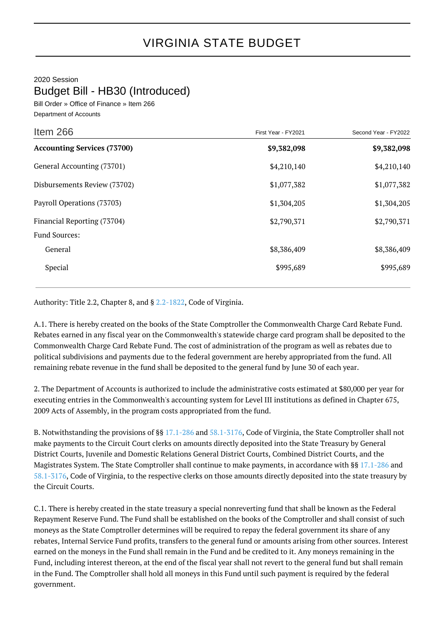2020 Session

## Budget Bill - HB30 (Introduced)

Bill Order » Office of Finance » Item 266 Department of Accounts

| Item 266                           | First Year - FY2021 | Second Year - FY2022 |
|------------------------------------|---------------------|----------------------|
| <b>Accounting Services (73700)</b> | \$9,382,098         | \$9,382,098          |
| General Accounting (73701)         | \$4,210,140         | \$4,210,140          |
| Disbursements Review (73702)       | \$1,077,382         | \$1,077,382          |
| Payroll Operations (73703)         | \$1,304,205         | \$1,304,205          |
| Financial Reporting (73704)        | \$2,790,371         | \$2,790,371          |
| <b>Fund Sources:</b>               |                     |                      |
| General                            | \$8,386,409         | \$8,386,409          |
| Special                            | \$995,689           | \$995,689            |

Authority: Title 2.2, Chapter 8, and § [2.2-1822](http://law.lis.virginia.gov/vacode/2.2-1822/), Code of Virginia.

A.1. There is hereby created on the books of the State Comptroller the Commonwealth Charge Card Rebate Fund. Rebates earned in any fiscal year on the Commonwealth's statewide charge card program shall be deposited to the Commonwealth Charge Card Rebate Fund. The cost of administration of the program as well as rebates due to political subdivisions and payments due to the federal government are hereby appropriated from the fund. All remaining rebate revenue in the fund shall be deposited to the general fund by June 30 of each year.

2. The Department of Accounts is authorized to include the administrative costs estimated at \$80,000 per year for executing entries in the Commonwealth's accounting system for Level III institutions as defined in Chapter 675, 2009 Acts of Assembly, in the program costs appropriated from the fund.

B. Notwithstanding the provisions of §§ [17.1-286](http://law.lis.virginia.gov/vacode/17.1-286/) and [58.1-3176,](http://law.lis.virginia.gov/vacode/58.1-3176/) Code of Virginia, the State Comptroller shall not make payments to the Circuit Court clerks on amounts directly deposited into the State Treasury by General District Courts, Juvenile and Domestic Relations General District Courts, Combined District Courts, and the Magistrates System. The State Comptroller shall continue to make payments, in accordance with §§ [17.1-286](http://law.lis.virginia.gov/vacode/17.1-286/) and [58.1-3176](http://law.lis.virginia.gov/vacode/58.1-3176/), Code of Virginia, to the respective clerks on those amounts directly deposited into the state treasury by the Circuit Courts.

C.1. There is hereby created in the state treasury a special nonreverting fund that shall be known as the Federal Repayment Reserve Fund. The Fund shall be established on the books of the Comptroller and shall consist of such moneys as the State Comptroller determines will be required to repay the federal government its share of any rebates, Internal Service Fund profits, transfers to the general fund or amounts arising from other sources. Interest earned on the moneys in the Fund shall remain in the Fund and be credited to it. Any moneys remaining in the Fund, including interest thereon, at the end of the fiscal year shall not revert to the general fund but shall remain in the Fund. The Comptroller shall hold all moneys in this Fund until such payment is required by the federal government.